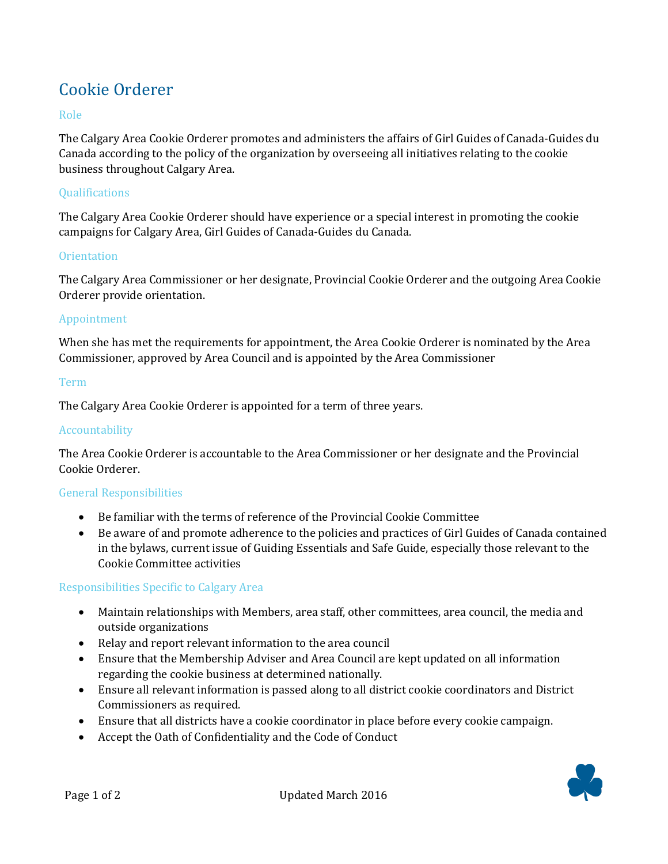# Cookie Orderer

## Role

The Calgary Area Cookie Orderer promotes and administers the affairs of Girl Guides of Canada-Guides du Canada according to the policy of the organization by overseeing all initiatives relating to the cookie business throughout Calgary Area.

### **Qualifications**

The Calgary Area Cookie Orderer should have experience or a special interest in promoting the cookie campaigns for Calgary Area, Girl Guides of Canada-Guides du Canada.

#### **Orientation**

The Calgary Area Commissioner or her designate, Provincial Cookie Orderer and the outgoing Area Cookie Orderer provide orientation.

### Appointment

When she has met the requirements for appointment, the Area Cookie Orderer is nominated by the Area Commissioner, approved by Area Council and is appointed by the Area Commissioner

#### Term

The Calgary Area Cookie Orderer is appointed for a term of three years.

### Accountability

The Area Cookie Orderer is accountable to the Area Commissioner or her designate and the Provincial Cookie Orderer.

# General Responsibilities

- Be familiar with the terms of reference of the Provincial Cookie Committee
- Be aware of and promote adherence to the policies and practices of Girl Guides of Canada contained in the bylaws, current issue of Guiding Essentials and Safe Guide, especially those relevant to the Cookie Committee activities

# Responsibilities Specific to Calgary Area

- Maintain relationships with Members, area staff, other committees, area council, the media and outside organizations
- Relay and report relevant information to the area council
- Ensure that the Membership Adviser and Area Council are kept updated on all information regarding the cookie business at determined nationally.
- Ensure all relevant information is passed along to all district cookie coordinators and District Commissioners as required.
- Ensure that all districts have a cookie coordinator in place before every cookie campaign.
- Accept the Oath of Confidentiality and the Code of Conduct